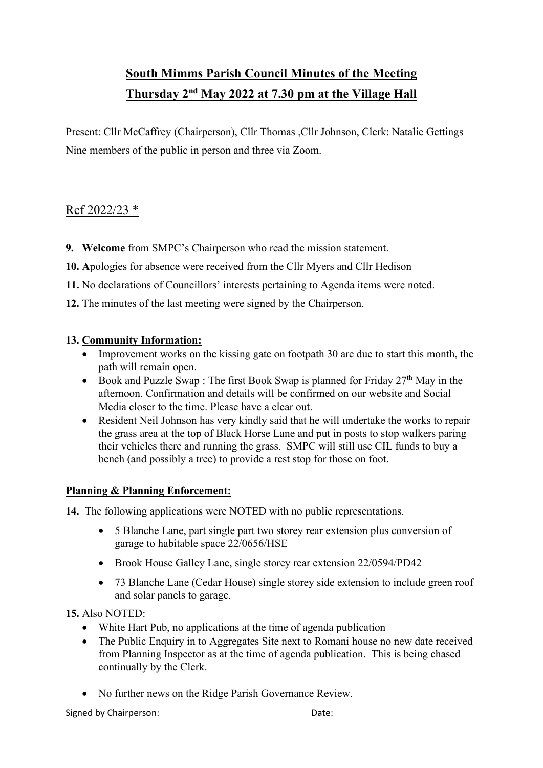# **South Mimms Parish Council Minutes of the Meeting Thursday 2nd May 2022 at 7.30 pm at the Village Hall**

Present: Cllr McCaffrey (Chairperson), Cllr Thomas ,Cllr Johnson, Clerk: Natalie Gettings Nine members of the public in person and three via Zoom.

## Ref 2022/23 \*

- **9. Welcome** from SMPC's Chairperson who read the mission statement.
- **10. A**pologies for absence were received from the Cllr Myers and Cllr Hedison
- **11.** No declarations of Councillors' interests pertaining to Agenda items were noted.
- **12.** The minutes of the last meeting were signed by the Chairperson.

#### **13. Community Information:**

- Improvement works on the kissing gate on footpath 30 are due to start this month, the path will remain open.
- Book and Puzzle Swap : The first Book Swap is planned for Friday  $27<sup>th</sup>$  May in the afternoon. Confirmation and details will be confirmed on our website and Social Media closer to the time. Please have a clear out.
- Resident Neil Johnson has very kindly said that he will undertake the works to repair the grass area at the top of Black Horse Lane and put in posts to stop walkers paring their vehicles there and running the grass. SMPC will still use CIL funds to buy a bench (and possibly a tree) to provide a rest stop for those on foot.

#### **Planning & Planning Enforcement:**

- **14.** The following applications were NOTED with no public representations.
	- 5 Blanche Lane, part single part two storey rear extension plus conversion of garage to habitable space 22/0656/HSE
	- Brook House Galley Lane, single storey rear extension 22/0594/PD42
	- 73 Blanche Lane (Cedar House) single storey side extension to include green roof and solar panels to garage.

#### **15.** Also NOTED:

- White Hart Pub, no applications at the time of agenda publication
- The Public Enquiry in to Aggregates Site next to Romani house no new date received from Planning Inspector as at the time of agenda publication. This is being chased continually by the Clerk.
- No further news on the Ridge Parish Governance Review.

Signed by Chairperson: Date: